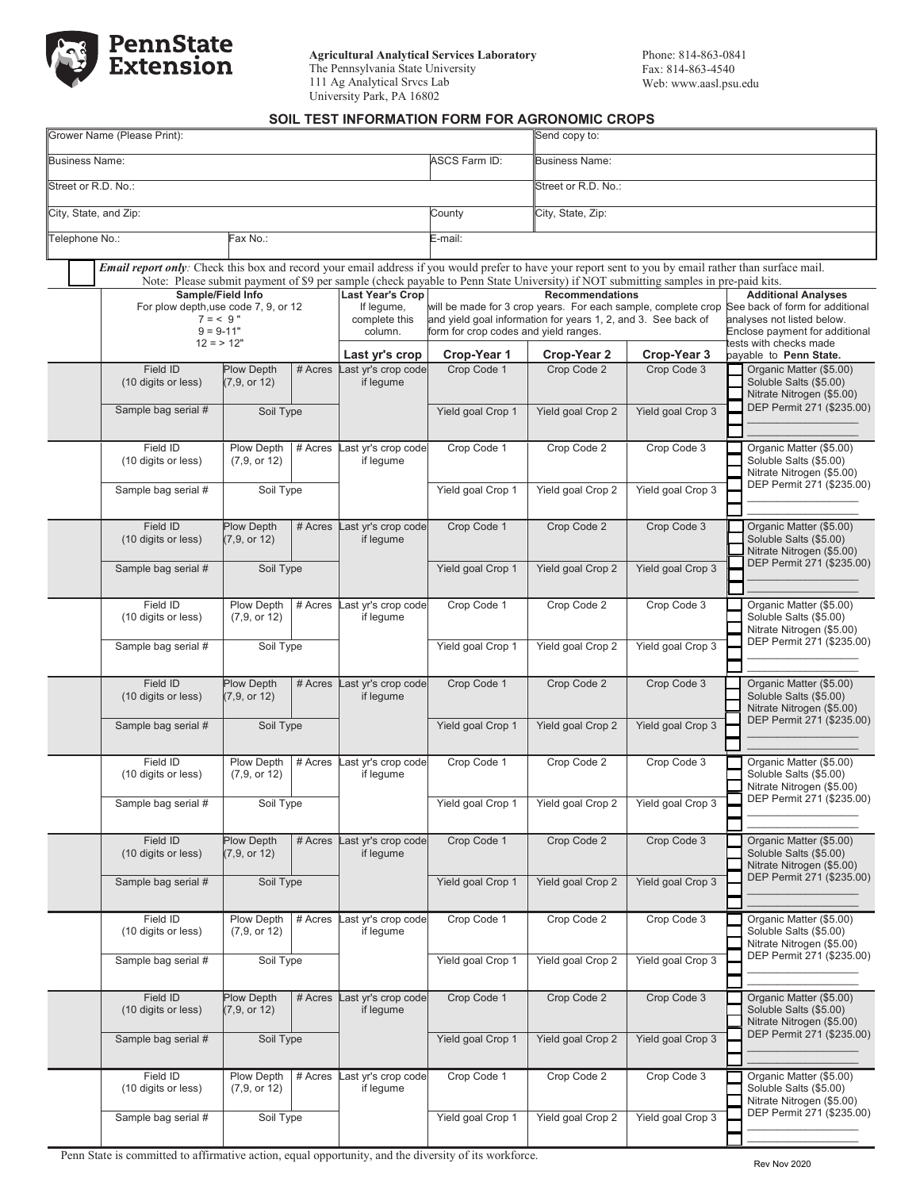

**Agricultural Analytical Services Laboratory** The Pennsylvania State University 111 Ag Analytical Srvcs Lab University Park, PA 16802

## **SOIL TEST INFORMATION FORM FOR AGRONOMIC CROPS**

|                                                    |                             | Grower Name (Please Print):     |                                                                                                                                    | Send copy to:                                 |                                                                                                                                                        |                                                                                                                                                                |                                  |                                                                                |  |  |  |
|----------------------------------------------------|-----------------------------|---------------------------------|------------------------------------------------------------------------------------------------------------------------------------|-----------------------------------------------|--------------------------------------------------------------------------------------------------------------------------------------------------------|----------------------------------------------------------------------------------------------------------------------------------------------------------------|----------------------------------|--------------------------------------------------------------------------------|--|--|--|
|                                                    | <b>Business Name:</b>       |                                 |                                                                                                                                    |                                               | <b>ASCS Farm ID:</b>                                                                                                                                   | <b>Business Name:</b>                                                                                                                                          |                                  |                                                                                |  |  |  |
|                                                    |                             | Street or R.D. No.:             |                                                                                                                                    |                                               |                                                                                                                                                        | Street or R.D. No.:                                                                                                                                            |                                  |                                                                                |  |  |  |
|                                                    |                             | City, State, and Zip:           |                                                                                                                                    |                                               | County                                                                                                                                                 | City, State, Zip:                                                                                                                                              |                                  |                                                                                |  |  |  |
| Telephone No.:<br>ax No.:                          |                             |                                 |                                                                                                                                    |                                               | E-mail:                                                                                                                                                |                                                                                                                                                                |                                  |                                                                                |  |  |  |
|                                                    |                             |                                 |                                                                                                                                    |                                               | Email report only: Check this box and record your email address if you would prefer to have your report sent to you by email rather than surface mail. |                                                                                                                                                                |                                  |                                                                                |  |  |  |
|                                                    |                             | Sample/Field Info               | Note: Please submit payment of \$9 per sample (check payable to Penn State University) if NOT submitting samples in pre-paid kits. | <b>Last Year's Crop</b>                       |                                                                                                                                                        | <b>Recommendations</b>                                                                                                                                         |                                  | <b>Additional Analyses</b>                                                     |  |  |  |
| For plow depth, use code 7, 9, or 12<br>$7 = 59$ " |                             |                                 |                                                                                                                                    | If legume,<br>complete this                   |                                                                                                                                                        | will be made for 3 crop years. For each sample, complete crop See back of form for additional<br>and yield goal information for years 1, 2, and 3. See back of |                                  | analyses not listed below.                                                     |  |  |  |
|                                                    | $9 = 9 - 11"$<br>$12 = 12"$ |                                 |                                                                                                                                    | column.                                       | form for crop codes and yield ranges.<br>Crop-Year 1                                                                                                   |                                                                                                                                                                |                                  | Enclose payment for additional<br>ests with checks made                        |  |  |  |
|                                                    |                             | Field ID                        | <b>Plow Depth</b>                                                                                                                  | Last yr's crop<br># Acres Last yr's crop code | Crop Code 1                                                                                                                                            | Crop-Year 2<br>Crop Code 2                                                                                                                                     | Crop-Year 3<br>Crop Code 3       | payable to Penn State.<br>Organic Matter (\$5.00)                              |  |  |  |
|                                                    |                             | (10 digits or less)             | (7, 9, or 12)                                                                                                                      | if legume                                     |                                                                                                                                                        |                                                                                                                                                                |                                  | Soluble Salts (\$5.00)<br>Nitrate Nitrogen (\$5.00)                            |  |  |  |
|                                                    |                             | Sample bag serial #             | Soil Type                                                                                                                          |                                               | Yield goal Crop 1                                                                                                                                      | Yield goal Crop 2                                                                                                                                              | Yield goal Crop 3                | DEP Permit 271 (\$235.00)                                                      |  |  |  |
|                                                    |                             | Field ID                        | Plow Depth                                                                                                                         | # Acres Last yr's crop code                   | Crop Code 1                                                                                                                                            | Crop Code 2                                                                                                                                                    | Crop Code 3                      | Organic Matter (\$5.00)                                                        |  |  |  |
|                                                    |                             | (10 digits or less)             | (7, 9, or 12)                                                                                                                      | if legume                                     | Yield goal Crop 1                                                                                                                                      |                                                                                                                                                                | Yield goal Crop 3                | Soluble Salts (\$5.00)<br>Nitrate Nitrogen (\$5.00)                            |  |  |  |
|                                                    |                             | Sample bag serial #             | Soil Type                                                                                                                          |                                               |                                                                                                                                                        | Yield goal Crop 2                                                                                                                                              |                                  | DEP Permit 271 (\$235.00)                                                      |  |  |  |
|                                                    |                             |                                 |                                                                                                                                    |                                               |                                                                                                                                                        |                                                                                                                                                                |                                  |                                                                                |  |  |  |
|                                                    |                             | Field ID<br>(10 digits or less) | <b>Plow Depth</b><br># Acres<br>(7, 9, or 12)                                                                                      | Last yr's crop code<br>if lequme              | Crop Code 1                                                                                                                                            | Crop Code 2                                                                                                                                                    | Crop Code 3                      | Organic Matter (\$5.00)<br>Soluble Salts (\$5.00)<br>Nitrate Nitrogen (\$5.00) |  |  |  |
|                                                    |                             | Sample bag serial #             | Soil Type                                                                                                                          |                                               | Yield goal Crop 1                                                                                                                                      | Yield goal Crop 2                                                                                                                                              | Yield goal Crop 3                | DEP Permit 271 (\$235.00)                                                      |  |  |  |
|                                                    |                             | Field ID<br>(10 digits or less) | Plow Depth<br># Acres<br>(7, 9, or 12)                                                                                             | Last yr's crop code<br>if legume              | Crop Code 1                                                                                                                                            | Crop Code 2                                                                                                                                                    | Crop Code 3                      | Organic Matter (\$5.00)<br>Soluble Salts (\$5.00)                              |  |  |  |
|                                                    |                             | Sample bag serial #             | Soil Type                                                                                                                          |                                               | Yield goal Crop 1                                                                                                                                      | Yield goal Crop 2                                                                                                                                              | Yield goal Crop 3                | Nitrate Nitrogen (\$5.00)<br>DEP Permit 271 (\$235.00)                         |  |  |  |
|                                                    |                             |                                 |                                                                                                                                    |                                               |                                                                                                                                                        |                                                                                                                                                                |                                  |                                                                                |  |  |  |
|                                                    |                             | Field ID<br>(10 digits or less) | <b>Plow Depth</b><br>(7, 9, or 12)                                                                                                 | # Acres Last yr's crop code<br>if legume      | Crop Code 1                                                                                                                                            | Crop Code 2                                                                                                                                                    | Crop Code 3                      | Organic Matter (\$5.00)<br>Soluble Salts (\$5.00)                              |  |  |  |
|                                                    |                             |                                 |                                                                                                                                    |                                               | Yield goal Crop 1                                                                                                                                      | Yield goal Crop 2                                                                                                                                              | Yield goal Crop 3                | Nitrate Nitrogen (\$5.00)<br>DEP Permit 271 (\$235.00)                         |  |  |  |
|                                                    |                             | Sample bag serial #             | Soil Type                                                                                                                          |                                               |                                                                                                                                                        |                                                                                                                                                                |                                  |                                                                                |  |  |  |
|                                                    |                             | Field ID<br>(10 digits or less) | Plow Depth<br># Acres                                                                                                              | Last yr's crop code<br>if legume              | Crop Code 1<br>Yield goal Crop 1                                                                                                                       | Crop Code 2<br>Yield goal Crop 2                                                                                                                               | Crop Code 3<br>Yield goal Crop 3 | Organic Matter (\$5.00)                                                        |  |  |  |
|                                                    |                             |                                 | (7, 9, or 12)                                                                                                                      |                                               |                                                                                                                                                        |                                                                                                                                                                |                                  | Soluble Salts (\$5.00)<br>Nitrate Nitrogen (\$5.00)                            |  |  |  |
|                                                    |                             | Sample bag serial #             | Soil Type                                                                                                                          |                                               |                                                                                                                                                        |                                                                                                                                                                |                                  | DEP Permit 271 (\$235.00)                                                      |  |  |  |
|                                                    |                             | Field ID                        | <b>Plow Depth</b><br># Acres                                                                                                       |                                               | Crop Code 1                                                                                                                                            | Crop Code 2                                                                                                                                                    | Crop Code 3                      | Organic Matter (\$5.00)                                                        |  |  |  |
|                                                    |                             | (10 digits or less)             | (7, 9, or 12)                                                                                                                      | Last yr's crop code<br>if legume              |                                                                                                                                                        |                                                                                                                                                                |                                  | Soluble Salts (\$5.00)<br>Nitrate Nitrogen (\$5.00)                            |  |  |  |
|                                                    |                             | Sample bag serial #             | Soil Type                                                                                                                          |                                               | Yield goal Crop 1                                                                                                                                      | Yield goal Crop 2                                                                                                                                              | Yield goal Crop 3                | DEP Permit 271 (\$235.00)                                                      |  |  |  |
|                                                    |                             |                                 | Field ID<br>Plow Depth<br># Acres                                                                                                  |                                               |                                                                                                                                                        |                                                                                                                                                                |                                  |                                                                                |  |  |  |
|                                                    |                             | (10 digits or less)             | (7, 9, or 12)                                                                                                                      | Last yr's crop code<br>if legume              | Crop Code 1                                                                                                                                            | Crop Code 2                                                                                                                                                    | Crop Code 3                      | Organic Matter (\$5.00)<br>Soluble Salts (\$5.00)<br>Nitrate Nitrogen (\$5.00) |  |  |  |
|                                                    |                             | Sample bag serial #             | Soil Type                                                                                                                          |                                               | Yield goal Crop 1                                                                                                                                      | Yield goal Crop 2                                                                                                                                              | Yield goal Crop 3                | DEP Permit 271 (\$235.00)                                                      |  |  |  |
|                                                    |                             |                                 |                                                                                                                                    |                                               |                                                                                                                                                        |                                                                                                                                                                |                                  |                                                                                |  |  |  |
|                                                    |                             | Field ID<br>(10 digits or less) | <b>Plow Depth</b><br>(7, 9, or 12)                                                                                                 | # Acres Last yr's crop code<br>if legume      | Crop Code 1                                                                                                                                            | Crop Code 2                                                                                                                                                    | Crop Code 3                      | Organic Matter (\$5.00)<br>Soluble Salts (\$5.00)                              |  |  |  |
|                                                    |                             | Sample bag serial #             | Soil Type                                                                                                                          |                                               | Yield goal Crop 1                                                                                                                                      | Yield goal Crop 2                                                                                                                                              | Yield goal Crop 3                | Nitrate Nitrogen (\$5.00)<br>DEP Permit 271 (\$235.00)                         |  |  |  |
|                                                    |                             |                                 |                                                                                                                                    |                                               |                                                                                                                                                        |                                                                                                                                                                |                                  |                                                                                |  |  |  |
|                                                    |                             | Field ID<br>(10 digits or less) | Plow Depth<br># Acres<br>(7, 9, or 12)                                                                                             | ast yr's crop code<br>if legume               | Crop Code 1                                                                                                                                            | Crop Code 2                                                                                                                                                    | Crop Code 3                      | Organic Matter (\$5.00)<br>Soluble Salts (\$5.00)<br>Nitrate Nitrogen (\$5.00) |  |  |  |
|                                                    |                             | Sample bag serial #             | Soil Type                                                                                                                          |                                               | Yield goal Crop 1                                                                                                                                      | Yield goal Crop 2                                                                                                                                              | Yield goal Crop 3                | DEP Permit 271 (\$235.00)                                                      |  |  |  |